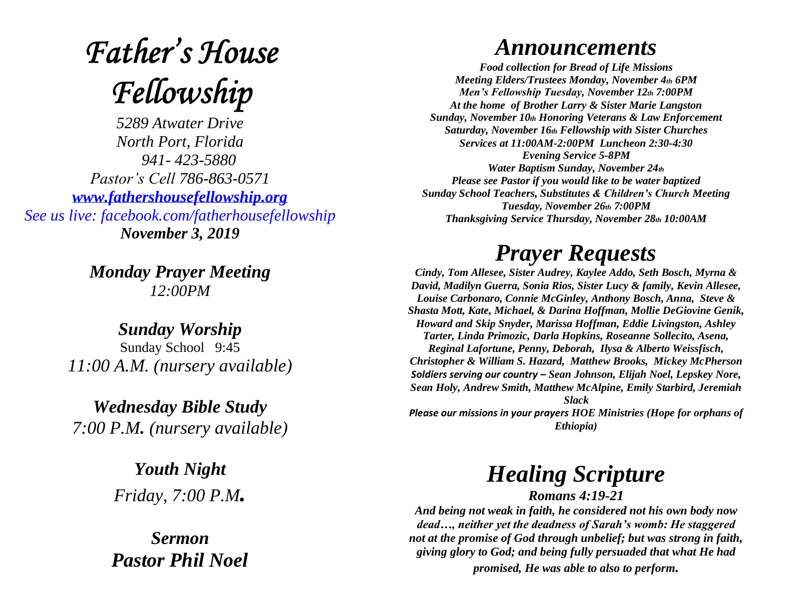# **Father's House** Fellowship

*5289 Atwater Drive North Port, Florida 941- 423-5880 Pastor's Cell 786-863-0571 [www.fathershousefellowship.org](http://www.fathershousefellowship.org/) See us live: facebook.com/fatherhousefellowship November 3, 2019*

> *Monday Prayer Meeting 12:00PM*

*Sunday Worship* Sunday School 9:45 *11:00 A.M. (nursery available)*

*Wednesday Bible Study 7:00 P.M. (nursery available)*

> *Youth Night Friday, 7:00 P.M.*

*Sermon Pastor Phil Noel*

#### *Announcements*

*Food collection for Bread of Life Missions Meeting Elders/Trustees Monday, November 4th 6PM Men's Fellowship Tuesday, November 12th 7:00PM At the home of Brother Larry & Sister Marie Langston Sunday, November 10th Honoring Veterans & Law Enforcement Saturday, November 16th Fellowship with Sister Churches Services at 11:00AM-2:00PM Luncheon 2:30-4:30 Evening Service 5-8PM Water Baptism Sunday, November 24th Please see Pastor if you would like to be water baptized Sunday School Teachers, Substitutes & Children's Church Meeting Tuesday, November 26th 7:00PM Thanksgiving Service Thursday, November 28th 10:00AM*

### *Prayer Requests*

*Cindy, Tom Allesee, Sister Audrey, Kaylee Addo, Seth Bosch, Myrna & David, Madilyn Guerra, Sonia Rios, Sister Lucy & family, Kevin Allesee, Louise Carbonaro, Connie McGinley, Anthony Bosch, Anna, Steve & Shasta Mott, Kate, Michael, & Darina Hoffman, Mollie DeGiovine Genik, Howard and Skip Snyder, Marissa Hoffman, Eddie Livingston, Ashley Tarter, Linda Primozic, Darla Hopkins, Roseanne Sollecito, Asena, Reginal Lafortune, Penny, Deborah, Ilysa & Alberto Weissfisch, Christopher & William S. Hazard, Matthew Brooks, Mickey McPherson Soldiers serving our country – Sean Johnson, Elijah Noel, Lepskey Nore, Sean Holy, Andrew Smith, Matthew McAlpine, Emily Starbird, Jeremiah Slack Please our missions in your prayers HOE Ministries (Hope for orphans of* 

*Ethiopia)*

## *Healing Scripture*

*Romans 4:19-21 And being not weak in faith, he considered not his own body now dead…, neither yet the deadness of Sarah's womb: He staggered not at the promise of God through unbelief; but was strong in faith, giving glory to God; and being fully persuaded that what He had promised, He was able to also to perform.*